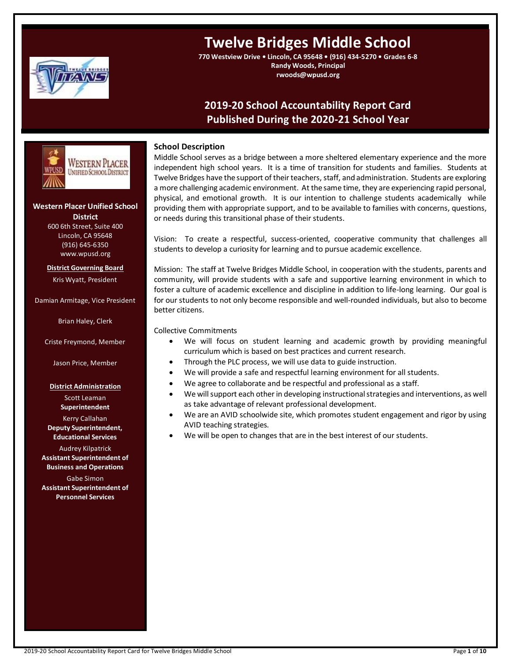

# **Twelve Bridges Middle School**

**770 Westview Drive • Lincoln, CA 95648 • (916) 434-5270 • Grades 6-8 Randy Woods, Principal rwoods@wpusd.org**

# **2019-20 School Accountability Report Card Published During the 2020-21 School Year**



# **Western Placer Unified School District**

600 6th Street, Suite 400 Lincoln, CA 95648 (916) 645-6350 www.wpusd.org

**District Governing Board** Kris Wyatt, President

Damian Armitage, Vice President

Brian Haley, Clerk

Criste Freymond, Member

Jason Price, Member

# **District Administration**

Scott Leaman **Superintendent**

Kerry Callahan **Deputy Superintendent, Educational Services**

Audrey Kilpatrick **Assistant Superintendent of Business and Operations** Gabe Simon **Assistant Superintendent of Personnel Services**

# **School Description**

Middle School serves as a bridge between a more sheltered elementary experience and the more independent high school years. It is a time of transition for students and families. Students at Twelve Bridges have the support of their teachers, staff, and administration. Students are exploring a more challenging academic environment. At the same time, they are experiencing rapid personal, physical, and emotional growth. It is our intention to challenge students academically while providing them with appropriate support, and to be available to families with concerns, questions, or needs during this transitional phase of their students.

Vision: To create a respectful, success-oriented, cooperative community that challenges all students to develop a curiosity for learning and to pursue academic excellence.

Mission: The staff at Twelve Bridges Middle School, in cooperation with the students, parents and community, will provide students with a safe and supportive learning environment in which to foster a culture of academic excellence and discipline in addition to life-long learning. Our goal is for our students to not only become responsible and well-rounded individuals, but also to become better citizens.

Collective Commitments

- We will focus on student learning and academic growth by providing meaningful curriculum which is based on best practices and current research.
- Through the PLC process, we will use data to guide instruction.
- We will provide a safe and respectful learning environment for all students.
- We agree to collaborate and be respectful and professional as a staff.
- We will support each other in developing instructional strategies and interventions, as well as take advantage of relevant professional development.
- We are an AVID schoolwide site, which promotes student engagement and rigor by using AVID teaching strategies.
- We will be open to changes that are in the best interest of our students.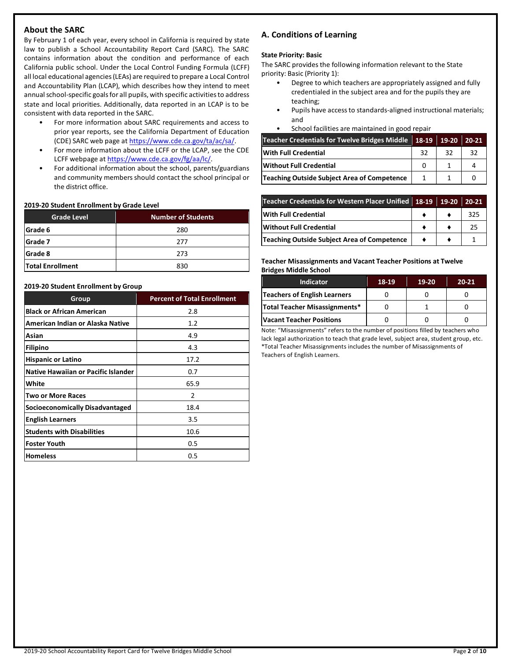# **About the SARC**

By February 1 of each year, every school in California is required by state law to publish a School Accountability Report Card (SARC). The SARC contains information about the condition and performance of each California public school. Under the Local Control Funding Formula (LCFF) all local educational agencies (LEAs) are required to prepare a Local Control and Accountability Plan (LCAP), which describes how they intend to meet annual school-specific goals for all pupils, with specific activities to address state and local priorities. Additionally, data reported in an LCAP is to be consistent with data reported in the SARC.

- For more information about SARC requirements and access to prior year reports, see the California Department of Education (CDE) SARC web page at [https://www.cde.ca.gov/ta/ac/sa/.](https://www.cde.ca.gov/ta/ac/sa/)
- For more information about the LCFF or the LCAP, see the CDE LCFF webpage a[t https://www.cde.ca.gov/fg/aa/lc/.](https://www.cde.ca.gov/fg/aa/lc/)
- For additional information about the school, parents/guardians and community members should contact the school principal or the district office.

### **2019-20 Student Enrollment by Grade Level**

| <b>Grade Level</b>      | <b>Number of Students</b> |  |  |
|-------------------------|---------------------------|--|--|
| Grade 6                 | 280                       |  |  |
| Grade 7                 | 277                       |  |  |
| Grade 8                 | 273                       |  |  |
| <b>Total Enrollment</b> | 830                       |  |  |

### **2019-20 Student Enrollment by Group**

| Group                               | <b>Percent of Total Enrollment</b> |
|-------------------------------------|------------------------------------|
| <b>Black or African American</b>    | 2.8                                |
| American Indian or Alaska Native    | 1.2                                |
| Asian                               | 4.9                                |
| <b>Filipino</b>                     | 4.3                                |
| <b>Hispanic or Latino</b>           | 17.2                               |
| Native Hawaiian or Pacific Islander | 0.7                                |
| White                               | 65.9                               |
| <b>Two or More Races</b>            | 2                                  |
| Socioeconomically Disadvantaged     | 18.4                               |
| <b>English Learners</b>             | 3.5                                |
| <b>Students with Disabilities</b>   | 10.6                               |
| <b>Foster Youth</b>                 | 0.5                                |
| <b>Homeless</b>                     | 0.5                                |

# **A. Conditions of Learning**

### **State Priority: Basic**

The SARC provides the following information relevant to the State priority: Basic (Priority 1):

- Degree to which teachers are appropriately assigned and fully credentialed in the subject area and for the pupils they are teaching;
- Pupils have access to standards-aligned instructional materials; and
- School facilities are maintained in good repair

| Teacher Credentials for Twelve Bridges Middle 18-19 19-20 |    |    | 20-21 |
|-----------------------------------------------------------|----|----|-------|
| With Full Credential                                      | 32 | 32 | 32    |
| Without Full Credential                                   |    |    | 4     |
| Teaching Outside Subject Area of Competence               |    |    |       |

| Teacher Credentials for Western Placer Unified 18-19 19-20 |  | 20-21 |
|------------------------------------------------------------|--|-------|
| <b>With Full Credential</b>                                |  | 325   |
| <b>Without Full Credential</b>                             |  | 25    |
| Teaching Outside Subject Area of Competence                |  |       |

### **Teacher Misassignments and Vacant Teacher Positions at Twelve Bridges Middle School**

| <b>Indicator</b>                | 18-19 | $19-20$ | $20 - 21$ |
|---------------------------------|-------|---------|-----------|
| Teachers of English Learners    |       |         |           |
| Total Teacher Misassignments*   |       |         |           |
| <b>Vacant Teacher Positions</b> |       |         |           |

Note: "Misassignments" refers to the number of positions filled by teachers who lack legal authorization to teach that grade level, subject area, student group, etc. \*Total Teacher Misassignments includes the number of Misassignments of Teachers of English Learners.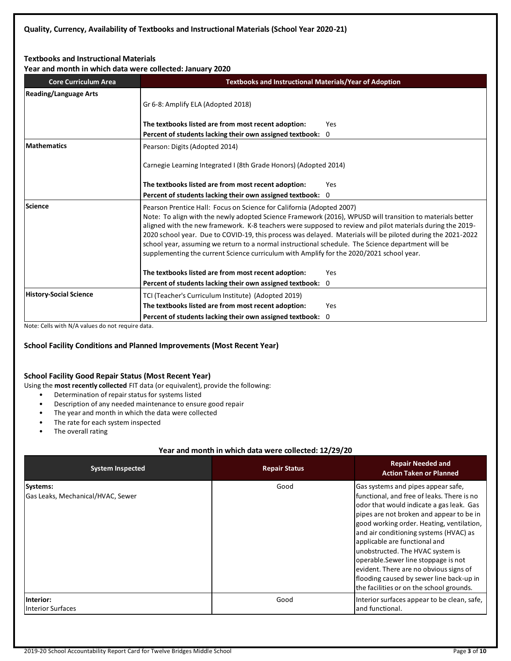# **Textbooks and Instructional Materials**

**Year and month in which data were collected: January 2020**

| <u>rear and month in which data were collected: January 2020</u> |                                                                                                                                                                                                                                                                                                                                                                                                                                                                                                                                                                                                                  |  |  |  |  |
|------------------------------------------------------------------|------------------------------------------------------------------------------------------------------------------------------------------------------------------------------------------------------------------------------------------------------------------------------------------------------------------------------------------------------------------------------------------------------------------------------------------------------------------------------------------------------------------------------------------------------------------------------------------------------------------|--|--|--|--|
| <b>Core Curriculum Area</b>                                      | <b>Textbooks and Instructional Materials/Year of Adoption</b>                                                                                                                                                                                                                                                                                                                                                                                                                                                                                                                                                    |  |  |  |  |
| <b>Reading/Language Arts</b>                                     | Gr 6-8: Amplify ELA (Adopted 2018)                                                                                                                                                                                                                                                                                                                                                                                                                                                                                                                                                                               |  |  |  |  |
|                                                                  | The textbooks listed are from most recent adoption:<br>Yes                                                                                                                                                                                                                                                                                                                                                                                                                                                                                                                                                       |  |  |  |  |
|                                                                  | Percent of students lacking their own assigned textbook: 0                                                                                                                                                                                                                                                                                                                                                                                                                                                                                                                                                       |  |  |  |  |
| <b>Mathematics</b>                                               | Pearson: Digits (Adopted 2014)                                                                                                                                                                                                                                                                                                                                                                                                                                                                                                                                                                                   |  |  |  |  |
|                                                                  | Carnegie Learning Integrated I (8th Grade Honors) (Adopted 2014)                                                                                                                                                                                                                                                                                                                                                                                                                                                                                                                                                 |  |  |  |  |
|                                                                  | The textbooks listed are from most recent adoption:<br>Yes                                                                                                                                                                                                                                                                                                                                                                                                                                                                                                                                                       |  |  |  |  |
|                                                                  | Percent of students lacking their own assigned textbook: 0                                                                                                                                                                                                                                                                                                                                                                                                                                                                                                                                                       |  |  |  |  |
| Science                                                          | Pearson Prentice Hall: Focus on Science for California (Adopted 2007)<br>Note: To align with the newly adopted Science Framework (2016), WPUSD will transition to materials better<br>aligned with the new framework. K-8 teachers were supposed to review and pilot materials during the 2019-<br>2020 school year. Due to COVID-19, this process was delayed. Materials will be piloted during the 2021-2022<br>school year, assuming we return to a normal instructional schedule. The Science department will be<br>supplementing the current Science curriculum with Amplify for the 2020/2021 school year. |  |  |  |  |
|                                                                  | The textbooks listed are from most recent adoption:<br>Yes                                                                                                                                                                                                                                                                                                                                                                                                                                                                                                                                                       |  |  |  |  |
|                                                                  | Percent of students lacking their own assigned textbook: 0                                                                                                                                                                                                                                                                                                                                                                                                                                                                                                                                                       |  |  |  |  |
| <b>History-Social Science</b>                                    | TCI (Teacher's Curriculum Institute) (Adopted 2019)                                                                                                                                                                                                                                                                                                                                                                                                                                                                                                                                                              |  |  |  |  |
|                                                                  | The textbooks listed are from most recent adoption:<br>Yes                                                                                                                                                                                                                                                                                                                                                                                                                                                                                                                                                       |  |  |  |  |
|                                                                  | Percent of students lacking their own assigned textbook: 0                                                                                                                                                                                                                                                                                                                                                                                                                                                                                                                                                       |  |  |  |  |

Note: Cells with N/A values do not require data.

# **School Facility Conditions and Planned Improvements (Most Recent Year)**

# **School Facility Good Repair Status (Most Recent Year)**

Using the **most recently collected** FIT data (or equivalent), provide the following:

- Determination of repair status for systems listed
- Description of any needed maintenance to ensure good repair
- The year and month in which the data were collected
- The rate for each system inspected
- The overall rating

### **Year and month in which data were collected: 12/29/20**

| <b>System Inspected</b>                       | <b>Repair Status</b> | <b>Repair Needed and</b><br><b>Action Taken or Planned</b>                                                                                                                                                                                                                                                                                                                                                                                                                                                     |
|-----------------------------------------------|----------------------|----------------------------------------------------------------------------------------------------------------------------------------------------------------------------------------------------------------------------------------------------------------------------------------------------------------------------------------------------------------------------------------------------------------------------------------------------------------------------------------------------------------|
| Systems:<br>Gas Leaks, Mechanical/HVAC, Sewer | Good                 | Gas systems and pipes appear safe,<br>functional, and free of leaks. There is no<br>odor that would indicate a gas leak. Gas<br>pipes are not broken and appear to be in<br>good working order. Heating, ventilation,<br>and air conditioning systems (HVAC) as<br>applicable are functional and<br>unobstructed. The HVAC system is<br>operable. Sewer line stoppage is not<br>evident. There are no obvious signs of<br>flooding caused by sewer line back-up in<br>the facilities or on the school grounds. |
| Interior:<br><b>Interior Surfaces</b>         | Good                 | Interior surfaces appear to be clean, safe,<br>land functional.                                                                                                                                                                                                                                                                                                                                                                                                                                                |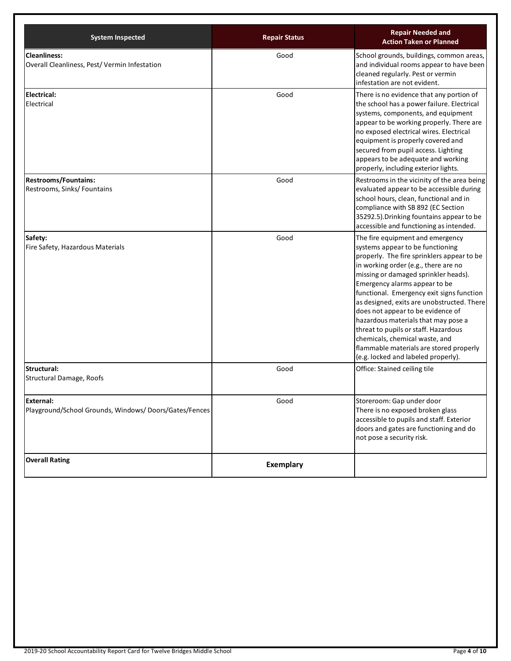| <b>System Inspected</b>                                                   | <b>Repair Status</b> | <b>Repair Needed and</b><br><b>Action Taken or Planned</b>                                                                                                                                                                                                                                                                                                                                                                                                                                                                                                             |
|---------------------------------------------------------------------------|----------------------|------------------------------------------------------------------------------------------------------------------------------------------------------------------------------------------------------------------------------------------------------------------------------------------------------------------------------------------------------------------------------------------------------------------------------------------------------------------------------------------------------------------------------------------------------------------------|
| <b>Cleanliness:</b><br>Overall Cleanliness, Pest/Vermin Infestation       | Good                 | School grounds, buildings, common areas,<br>and individual rooms appear to have been<br>cleaned regularly. Pest or vermin<br>infestation are not evident.                                                                                                                                                                                                                                                                                                                                                                                                              |
| <b>Electrical:</b><br>Electrical                                          | Good                 | There is no evidence that any portion of<br>the school has a power failure. Electrical<br>systems, components, and equipment<br>appear to be working properly. There are<br>no exposed electrical wires. Electrical<br>equipment is properly covered and<br>secured from pupil access. Lighting<br>appears to be adequate and working<br>properly, including exterior lights.                                                                                                                                                                                          |
| <b>Restrooms/Fountains:</b><br>Restrooms, Sinks/ Fountains                | Good                 | Restrooms in the vicinity of the area being<br>evaluated appear to be accessible during<br>school hours, clean, functional and in<br>compliance with SB 892 (EC Section<br>35292.5). Drinking fountains appear to be<br>accessible and functioning as intended.                                                                                                                                                                                                                                                                                                        |
| Safety:<br>Fire Safety, Hazardous Materials                               | Good                 | The fire equipment and emergency<br>systems appear to be functioning<br>properly. The fire sprinklers appear to be<br>in working order (e.g., there are no<br>missing or damaged sprinkler heads).<br>Emergency alarms appear to be<br>functional. Emergency exit signs function<br>as designed, exits are unobstructed. There<br>does not appear to be evidence of<br>hazardous materials that may pose a<br>threat to pupils or staff. Hazardous<br>chemicals, chemical waste, and<br>flammable materials are stored properly<br>(e.g. locked and labeled properly). |
| Structural:<br>Structural Damage, Roofs                                   | Good                 | Office: Stained ceiling tile                                                                                                                                                                                                                                                                                                                                                                                                                                                                                                                                           |
| <b>External:</b><br>Playground/School Grounds, Windows/Doors/Gates/Fences | Good                 | Storeroom: Gap under door<br>There is no exposed broken glass<br>accessible to pupils and staff. Exterior<br>doors and gates are functioning and do<br>not pose a security risk.                                                                                                                                                                                                                                                                                                                                                                                       |
| <b>Overall Rating</b>                                                     | <b>Exemplary</b>     |                                                                                                                                                                                                                                                                                                                                                                                                                                                                                                                                                                        |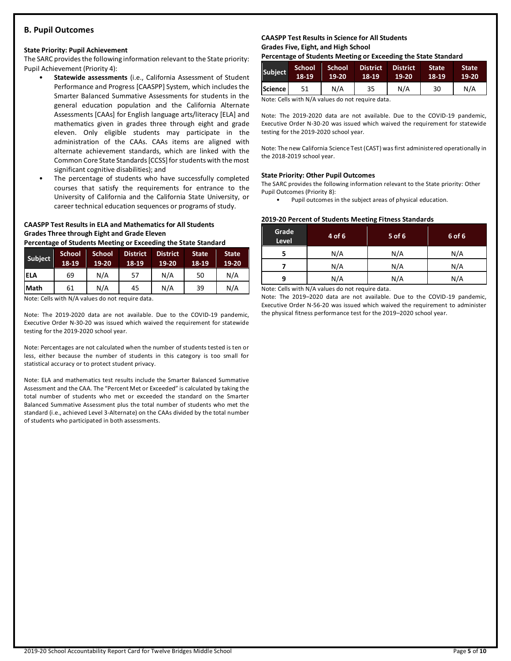# **B. Pupil Outcomes**

#### **State Priority: Pupil Achievement**

The SARC provides the following information relevant to the State priority: Pupil Achievement (Priority 4):

- **Statewide assessments** (i.e., California Assessment of Student Performance and Progress [CAASPP] System, which includes the Smarter Balanced Summative Assessments for students in the general education population and the California Alternate Assessments [CAAs] for English language arts/literacy [ELA] and mathematics given in grades three through eight and grade eleven. Only eligible students may participate in the administration of the CAAs. CAAs items are aligned with alternate achievement standards, which are linked with the Common Core State Standards [CCSS] for students with the most significant cognitive disabilities); and
- The percentage of students who have successfully completed courses that satisfy the requirements for entrance to the University of California and the California State University, or career technical education sequences or programs of study.

# **CAASPP Test Results in ELA and Mathematics for All Students Grades Three through Eight and Grade Eleven**

**Percentage of Students Meeting or Exceeding the State Standard**

| Subject     | <b>School</b><br>18-19 | <b>School</b><br>19-20 | <b>District</b><br>18-19 | <b>District</b><br>$19-20$ | <b>State</b><br>18-19 | <b>State</b><br>$19-20$ |
|-------------|------------------------|------------------------|--------------------------|----------------------------|-----------------------|-------------------------|
| <b>ELA</b>  | 69                     | N/A                    | 57                       | N/A                        | 50                    | N/A                     |
| <b>Math</b> | 61                     | N/A                    | 45                       | N/A                        | 39                    | N/A                     |

Note: Cells with N/A values do not require data.

Note: The 2019-2020 data are not available. Due to the COVID-19 pandemic, Executive Order N-30-20 was issued which waived the requirement for statewide testing for the 2019-2020 school year.

Note: Percentages are not calculated when the number of students tested is ten or less, either because the number of students in this category is too small for statistical accuracy or to protect student privacy.

Note: ELA and mathematics test results include the Smarter Balanced Summative Assessment and the CAA. The "Percent Met or Exceeded" is calculated by taking the total number of students who met or exceeded the standard on the Smarter Balanced Summative Assessment plus the total number of students who met the standard (i.e., achieved Level 3-Alternate) on the CAAs divided by the total number of students who participated in both assessments.

### **CAASPP Test Results in Science for All Students Grades Five, Eight, and High School**

**Percentage of Students Meeting or Exceeding the State Standard**

| Subject        | 'School'<br>18-19 | School<br>$19-20$ | <b>District</b><br>18-19 | <b>District</b><br>19-20 | <b>State</b><br>18-19 | <b>State</b><br>$19-20$ |
|----------------|-------------------|-------------------|--------------------------|--------------------------|-----------------------|-------------------------|
| <b>Science</b> |                   | N/A               | 35                       | N/A                      | 30                    | N/A                     |

Note: Cells with N/A values do not require data.

Note: The 2019-2020 data are not available. Due to the COVID-19 pandemic, Executive Order N-30-20 was issued which waived the requirement for statewide testing for the 2019-2020 school year.

Note: The new California Science Test (CAST) was first administered operationally in the 2018-2019 school year.

### **State Priority: Other Pupil Outcomes**

The SARC provides the following information relevant to the State priority: Other Pupil Outcomes (Priority 8):

Pupil outcomes in the subject areas of physical education.

### **2019-20 Percent of Students Meeting Fitness Standards**

| Grade<br>Level | 4 of 6 | $5$ of 6 | 6 of 6 |
|----------------|--------|----------|--------|
|                | N/A    | N/A      | N/A    |
|                | N/A    | N/A      | N/A    |
| q              | N/A    | N/A      | N/A    |

Note: Cells with N/A values do not require data.

Note: The 2019–2020 data are not available. Due to the COVID-19 pandemic, Executive Order N-56-20 was issued which waived the requirement to administer the physical fitness performance test for the 2019–2020 school year.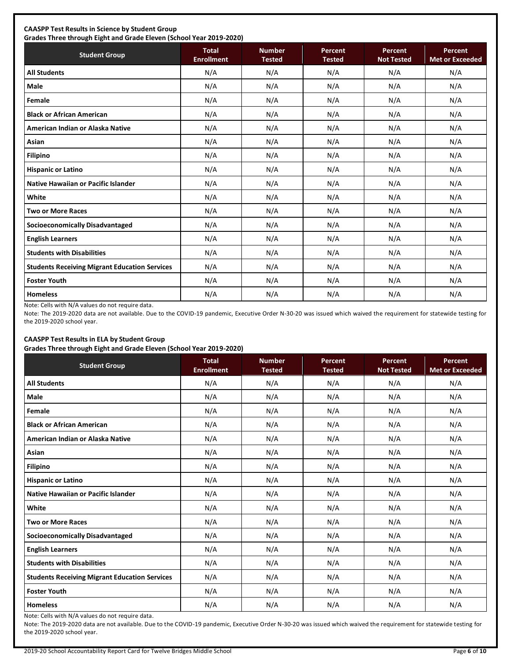# **CAASPP Test Results in Science by Student Group**

**Grades Three through Eight and Grade Eleven (School Year 2019-2020)**

| Grades Three through Eight and Grade Eleven (School Year 2019-2020) |                                   |                                |                          |                              |                                   |  |  |
|---------------------------------------------------------------------|-----------------------------------|--------------------------------|--------------------------|------------------------------|-----------------------------------|--|--|
| <b>Student Group</b>                                                | <b>Total</b><br><b>Enrollment</b> | <b>Number</b><br><b>Tested</b> | Percent<br><b>Tested</b> | Percent<br><b>Not Tested</b> | Percent<br><b>Met or Exceeded</b> |  |  |
| <b>All Students</b>                                                 | N/A                               | N/A                            | N/A                      | N/A                          | N/A                               |  |  |
| <b>Male</b>                                                         | N/A                               | N/A                            | N/A                      | N/A                          | N/A                               |  |  |
| Female                                                              | N/A                               | N/A                            | N/A                      | N/A                          | N/A                               |  |  |
| <b>Black or African American</b>                                    | N/A                               | N/A                            | N/A                      | N/A                          | N/A                               |  |  |
| American Indian or Alaska Native                                    | N/A                               | N/A                            | N/A                      | N/A                          | N/A                               |  |  |
| Asian                                                               | N/A                               | N/A                            | N/A                      | N/A                          | N/A                               |  |  |
| <b>Filipino</b>                                                     | N/A                               | N/A                            | N/A                      | N/A                          | N/A                               |  |  |
| <b>Hispanic or Latino</b>                                           | N/A                               | N/A                            | N/A                      | N/A                          | N/A                               |  |  |
| Native Hawaiian or Pacific Islander                                 | N/A                               | N/A                            | N/A                      | N/A                          | N/A                               |  |  |
| White                                                               | N/A                               | N/A                            | N/A                      | N/A                          | N/A                               |  |  |
| <b>Two or More Races</b>                                            | N/A                               | N/A                            | N/A                      | N/A                          | N/A                               |  |  |
| <b>Socioeconomically Disadvantaged</b>                              | N/A                               | N/A                            | N/A                      | N/A                          | N/A                               |  |  |
| <b>English Learners</b>                                             | N/A                               | N/A                            | N/A                      | N/A                          | N/A                               |  |  |
| <b>Students with Disabilities</b>                                   | N/A                               | N/A                            | N/A                      | N/A                          | N/A                               |  |  |
| <b>Students Receiving Migrant Education Services</b>                | N/A                               | N/A                            | N/A                      | N/A                          | N/A                               |  |  |
| <b>Foster Youth</b>                                                 | N/A                               | N/A                            | N/A                      | N/A                          | N/A                               |  |  |
| <b>Homeless</b>                                                     | N/A                               | N/A                            | N/A                      | N/A                          | N/A                               |  |  |

Note: Cells with N/A values do not require data.

Note: The 2019-2020 data are not available. Due to the COVID-19 pandemic, Executive Order N-30-20 was issued which waived the requirement for statewide testing for the 2019-2020 school year.

# **CAASPP Test Results in ELA by Student Group**

**Grades Three through Eight and Grade Eleven (School Year 2019-2020)**

| <b>Student Group</b>                                 | - -<br><b>Total</b><br><b>Enrollment</b> | <b>Number</b><br><b>Tested</b> | Percent<br><b>Tested</b> | Percent<br><b>Not Tested</b> | Percent<br><b>Met or Exceeded</b> |
|------------------------------------------------------|------------------------------------------|--------------------------------|--------------------------|------------------------------|-----------------------------------|
| <b>All Students</b>                                  | N/A                                      | N/A                            | N/A                      | N/A                          | N/A                               |
| <b>Male</b>                                          | N/A                                      | N/A                            | N/A                      | N/A                          | N/A                               |
| Female                                               | N/A                                      | N/A                            | N/A                      | N/A                          | N/A                               |
| <b>Black or African American</b>                     | N/A                                      | N/A                            | N/A                      | N/A                          | N/A                               |
| American Indian or Alaska Native                     | N/A                                      | N/A                            | N/A                      | N/A                          | N/A                               |
| Asian                                                | N/A                                      | N/A                            | N/A                      | N/A                          | N/A                               |
| <b>Filipino</b>                                      | N/A                                      | N/A                            | N/A                      | N/A                          | N/A                               |
| <b>Hispanic or Latino</b>                            | N/A                                      | N/A                            | N/A                      | N/A                          | N/A                               |
| Native Hawaiian or Pacific Islander                  | N/A                                      | N/A                            | N/A                      | N/A                          | N/A                               |
| White                                                | N/A                                      | N/A                            | N/A                      | N/A                          | N/A                               |
| <b>Two or More Races</b>                             | N/A                                      | N/A                            | N/A                      | N/A                          | N/A                               |
| <b>Socioeconomically Disadvantaged</b>               | N/A                                      | N/A                            | N/A                      | N/A                          | N/A                               |
| <b>English Learners</b>                              | N/A                                      | N/A                            | N/A                      | N/A                          | N/A                               |
| <b>Students with Disabilities</b>                    | N/A                                      | N/A                            | N/A                      | N/A                          | N/A                               |
| <b>Students Receiving Migrant Education Services</b> | N/A                                      | N/A                            | N/A                      | N/A                          | N/A                               |
| <b>Foster Youth</b>                                  | N/A                                      | N/A                            | N/A                      | N/A                          | N/A                               |
| <b>Homeless</b>                                      | N/A                                      | N/A                            | N/A                      | N/A                          | N/A                               |

Note: Cells with N/A values do not require data.

Note: The 2019-2020 data are not available. Due to the COVID-19 pandemic, Executive Order N-30-20 was issued which waived the requirement for statewide testing for the 2019-2020 school year.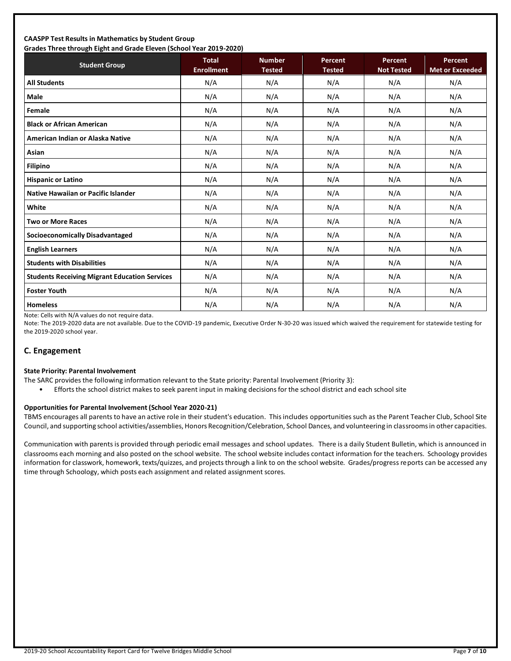#### **CAASPP Test Results in Mathematics by Student Group Grades Three through Eight and Grade Eleven (School Year 2019-2020)**

| Grades Three through Eight and Grade Eleven (Schoor fear 2015-2020)<br><b>Student Group</b> | <b>Total</b><br><b>Enrollment</b> | <b>Number</b><br><b>Tested</b> | Percent<br><b>Tested</b> | Percent<br><b>Not Tested</b> | <b>Percent</b><br><b>Met or Exceeded</b> |
|---------------------------------------------------------------------------------------------|-----------------------------------|--------------------------------|--------------------------|------------------------------|------------------------------------------|
| <b>All Students</b>                                                                         | N/A                               | N/A                            | N/A                      | N/A                          | N/A                                      |
| <b>Male</b>                                                                                 | N/A                               | N/A                            | N/A                      | N/A                          | N/A                                      |
| Female                                                                                      | N/A                               | N/A                            | N/A                      | N/A                          | N/A                                      |
| <b>Black or African American</b>                                                            | N/A                               | N/A                            | N/A                      | N/A                          | N/A                                      |
| American Indian or Alaska Native                                                            | N/A                               | N/A                            | N/A                      | N/A                          | N/A                                      |
| Asian                                                                                       | N/A                               | N/A                            | N/A                      | N/A                          | N/A                                      |
| <b>Filipino</b>                                                                             | N/A                               | N/A                            | N/A                      | N/A                          | N/A                                      |
| <b>Hispanic or Latino</b>                                                                   | N/A                               | N/A                            | N/A                      | N/A                          | N/A                                      |
| <b>Native Hawaiian or Pacific Islander</b>                                                  | N/A                               | N/A                            | N/A                      | N/A                          | N/A                                      |
| White                                                                                       | N/A                               | N/A                            | N/A                      | N/A                          | N/A                                      |
| <b>Two or More Races</b>                                                                    | N/A                               | N/A                            | N/A                      | N/A                          | N/A                                      |
| <b>Socioeconomically Disadvantaged</b>                                                      | N/A                               | N/A                            | N/A                      | N/A                          | N/A                                      |
| <b>English Learners</b>                                                                     | N/A                               | N/A                            | N/A                      | N/A                          | N/A                                      |
| <b>Students with Disabilities</b>                                                           | N/A                               | N/A                            | N/A                      | N/A                          | N/A                                      |
| <b>Students Receiving Migrant Education Services</b>                                        | N/A                               | N/A                            | N/A                      | N/A                          | N/A                                      |
| <b>Foster Youth</b>                                                                         | N/A                               | N/A                            | N/A                      | N/A                          | N/A                                      |
| <b>Homeless</b>                                                                             | N/A                               | N/A                            | N/A                      | N/A                          | N/A                                      |

Note: Cells with N/A values do not require data.

Note: The 2019-2020 data are not available. Due to the COVID-19 pandemic, Executive Order N-30-20 was issued which waived the requirement for statewide testing for the 2019-2020 school year.

# **C. Engagement**

#### **State Priority: Parental Involvement**

- The SARC provides the following information relevant to the State priority: Parental Involvement (Priority 3):
	- Efforts the school district makes to seek parent input in making decisions for the school district and each school site

### **Opportunities for Parental Involvement (School Year 2020-21)**

TBMS encourages all parents to have an active role in their student's education. This includes opportunities such as the Parent Teacher Club, School Site Council, and supporting school activities/assemblies, Honors Recognition/Celebration, School Dances, and volunteering in classrooms in other capacities.

Communication with parents is provided through periodic email messages and school updates. There is a daily Student Bulletin, which is announced in classrooms each morning and also posted on the school website. The school website includes contact information for the teachers. Schoology provides information for classwork, homework, texts/quizzes, and projects through a link to on the school website. Grades/progress reports can be accessed any time through Schoology, which posts each assignment and related assignment scores.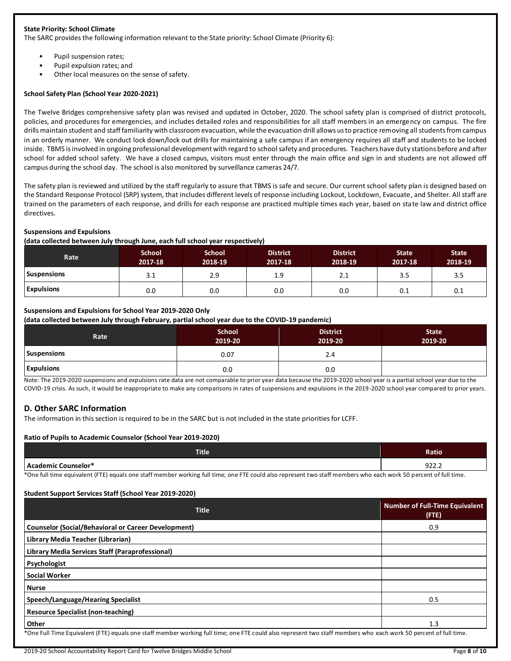### **State Priority: School Climate**

The SARC provides the following information relevant to the State priority: School Climate (Priority 6):

- Pupil suspension rates;
- Pupil expulsion rates; and
- Other local measures on the sense of safety.

### **School Safety Plan (School Year 2020-2021)**

The Twelve Bridges comprehensive safety plan was revised and updated in October, 2020. The school safety plan is comprised of district protocols, policies, and procedures for emergencies, and includes detailed roles and responsibilities for all staff members in an emergency on campus. The fire drills maintain student and staff familiarity with classroom evacuation, while the evacuation drill allows us to practice removing all students from campus in an orderly manner. We conduct lock down/lock out drills for maintaining a safe campus if an emergency requires all staff and students to be locked inside. TBMS is involved in ongoing professional development with regard to school safety and procedures. Teachers have duty stations before and after school for added school safety. We have a closed campus, visitors must enter through the main office and sign in and students are not allowed off campus during the school day. The school is also monitored by surveillance cameras 24/7.

The safety plan is reviewed and utilized by the staff regularly to assure that TBMS is safe and secure. Our current school safety plan is designed based on the Standard Response Protocol (SRP) system, that includes different levels of response including Lockout, Lockdown, Evacuate, and Shelter. All staff are trained on the parameters of each response, and drills for each response are practiced multiple times each year, based on state law and district office directives.

### **Suspensions and Expulsions**

**(data collected between July through June, each full school year respectively)**

| Rate               | <b>School</b><br>2017-18 | <b>School</b><br>2018-19 | <b>District</b><br>2017-18 | <b>District</b><br>2018-19 | <b>State</b><br>2017-18 | <b>State</b><br>2018-19 |
|--------------------|--------------------------|--------------------------|----------------------------|----------------------------|-------------------------|-------------------------|
| <b>Suspensions</b> | 3.1                      | 2.9                      | 1.9                        | 2.1                        | 3.5                     | 3.5                     |
| <b>Expulsions</b>  | 0.0                      | 0.0                      | 0.0                        | 0.0                        | 0.1                     | 0.1                     |

### **Suspensions and Expulsions for School Year 2019-2020 Only**

**(data collected between July through February, partial school year due to the COVID-19 pandemic)**

| Rate               | <b>School</b><br>2019-20 | <b>District</b><br>2019-20 | <b>State</b><br>2019-20 |
|--------------------|--------------------------|----------------------------|-------------------------|
| <b>Suspensions</b> | 0.07                     | 2.4                        |                         |
| <b>Expulsions</b>  | 0.0                      | 0.0                        |                         |

Note: The 2019-2020 suspensions and expulsions rate data are not comparable to prior year data because the 2019-2020 school year is a partial school year due to the COVID-19 crisis. As such, it would be inappropriate to make any comparisons in rates of suspensions and expulsions in the 2019-2020 school year compared to prior years.

# **D. Other SARC Information**

The information in this section is required to be in the SARC but is not included in the state priorities for LCFF.

### **Ratio of Pupils to Academic Counselor (School Year 2019-2020)**

| <b>Title</b>                         | Ratio          |
|--------------------------------------|----------------|
| Ac:<br>.cod<br>. Counselor*<br>lemic | $\sim$<br>コムムム |

\*One full time equivalent (FTE) equals one staff member working full time; one FTE could also represent two staff members who each work 50 percent of full time.

### **Student Support Services Staff (School Year 2019-2020)**

| <b>Title</b>                                                                                                                                                     | <b>Number of Full-Time Equivalent</b><br>(FTE) |
|------------------------------------------------------------------------------------------------------------------------------------------------------------------|------------------------------------------------|
| <b>Counselor (Social/Behavioral or Career Development)</b>                                                                                                       | 0.9                                            |
| Library Media Teacher (Librarian)                                                                                                                                |                                                |
| Library Media Services Staff (Paraprofessional)                                                                                                                  |                                                |
| Psychologist                                                                                                                                                     |                                                |
| <b>Social Worker</b>                                                                                                                                             |                                                |
| <b>Nurse</b>                                                                                                                                                     |                                                |
| Speech/Language/Hearing Specialist                                                                                                                               | 0.5                                            |
| <b>Resource Specialist (non-teaching)</b>                                                                                                                        |                                                |
| Other                                                                                                                                                            | 1.3                                            |
| *One Full Time Equivalent (FTE) equals one staff member working full time; one FTE could also represent two staff members who each work 50 percent of full time. |                                                |

2019-20 School Accountability Report Card for Twelve Bridges Middle School Page **8** of **10**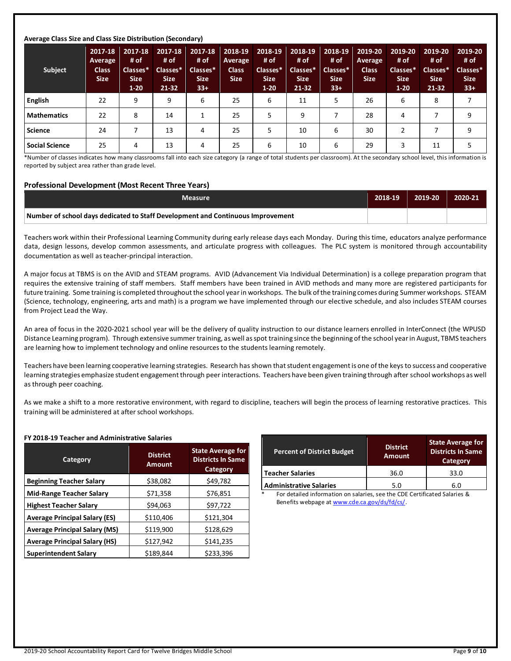### **Average Class Size and Class Size Distribution (Secondary)**

| Subject               | 2017-18<br>Average<br><b>Class</b><br><b>Size</b> | 2017-18<br># of<br>Classes*<br><b>Size</b><br>$1-20$ | 2017-18<br># of<br>Classes*<br><b>Size</b><br>$21 - 32$ | 2017-18<br># of<br>Classes*<br><b>Size</b><br>$33+$ | 2018-19<br>Average<br><b>Class</b><br><b>Size</b> | 2018-19<br># of<br>Classes*<br><b>Size</b><br>$1 - 20$ | 2018-19<br># of<br>Classes*<br><b>Size</b><br>$21 - 32$ | 2018-19<br># of<br>Classes*<br><b>Size</b><br>$33+$ | 2019-20<br>Average<br><b>Class</b><br><b>Size</b> | 2019-20<br># of<br>Classes*<br><b>Size</b><br>$1 - 20$ | 2019-20<br># of<br>Classes*<br><b>Size</b><br>21-32 | 2019-20<br># of<br>Classes*<br><b>Size</b><br>$33+$ |
|-----------------------|---------------------------------------------------|------------------------------------------------------|---------------------------------------------------------|-----------------------------------------------------|---------------------------------------------------|--------------------------------------------------------|---------------------------------------------------------|-----------------------------------------------------|---------------------------------------------------|--------------------------------------------------------|-----------------------------------------------------|-----------------------------------------------------|
| <b>English</b>        | 22                                                | 9                                                    | 9                                                       | 6                                                   | 25                                                | 6                                                      | 11                                                      | 5                                                   | 26                                                | 6                                                      | 8                                                   |                                                     |
| Mathematics           | 22                                                | 8                                                    | 14                                                      |                                                     | 25                                                | 5                                                      | 9                                                       |                                                     | 28                                                | 4                                                      |                                                     | 9                                                   |
| <b>Science</b>        | 24                                                |                                                      | 13                                                      | 4                                                   | 25                                                | 5                                                      | 10                                                      | 6                                                   | 30                                                | ∍                                                      |                                                     | 9                                                   |
| <b>Social Science</b> | 25                                                | 4                                                    | 13                                                      | 4                                                   | 25                                                | 6                                                      | 10                                                      | 6                                                   | 29                                                |                                                        | 11                                                  | 5                                                   |

\*Number of classes indicates how many classrooms fall into each size category (a range of total students per classroom). At the secondary school level, this information is reported by subject area rather than grade level.

#### **Professional Development (Most Recent Three Years)**

| <b>Measure</b>                                                                  | 2018-19 | 2019-20 | 2020-21 |
|---------------------------------------------------------------------------------|---------|---------|---------|
| Number of school days dedicated to Staff Development and Continuous Improvement |         |         |         |

Teachers work within their Professional Learning Community during early release days each Monday. During this time, educators analyze performance data, design lessons, develop common assessments, and articulate progress with colleagues. The PLC system is monitored through accountability documentation as well as teacher-principal interaction.

A major focus at TBMS is on the AVID and STEAM programs. AVID (Advancement Via Individual Determination) is a college preparation program that requires the extensive training of staff members. Staff members have been trained in AVID methods and many more are registered participants for future training. Some training is completed throughout the school year in workshops. The bulk of the training comes during Summer workshops. STEAM (Science, technology, engineering, arts and math) is a program we have implemented through our elective schedule, and also includes STEAM courses from Project Lead the Way.

An area of focus in the 2020-2021 school year will be the delivery of quality instruction to our distance learners enrolled in InterConnect (the WPUSD Distance Learning program). Through extensive summer training, as well as spot training since the beginning of the school year in August, TBMS teachers are learning how to implement technology and online resources to the students learning remotely.

Teachers have been learning cooperative learning strategies. Research has shown that student engagement is one of the keys to success and cooperative learning strategies emphasize student engagement through peer interactions. Teachers have been given training through after school workshops as well as through peer coaching.

As we make a shift to a more restorative environment, with regard to discipline, teachers will begin the process of learning restorative practices. This training will be administered at after school workshops.

#### **FY 2018-19 Teacher and Administrative Salaries**

| Category                             | <b>District</b><br><b>Amount</b> | <b>State Average for</b><br><b>Districts In Same</b><br>Category |
|--------------------------------------|----------------------------------|------------------------------------------------------------------|
| <b>Beginning Teacher Salary</b>      | \$38,082                         | \$49,782                                                         |
| <b>Mid-Range Teacher Salary</b>      | \$71,358                         | \$76,851                                                         |
| <b>Highest Teacher Salary</b>        | \$94,063                         | \$97,722                                                         |
| <b>Average Principal Salary (ES)</b> | \$110,406                        | \$121,304                                                        |
| <b>Average Principal Salary (MS)</b> | \$119,900                        | \$128,629                                                        |
| <b>Average Principal Salary (HS)</b> | \$127,942                        | \$141,235                                                        |
| <b>Superintendent Salary</b>         | \$189,844                        | \$233,396                                                        |

| <b>Percent of District Budget</b> | <b>District</b><br><b>Amount</b> | <b>State Average for</b><br><b>Districts In Same</b><br>Category |  |
|-----------------------------------|----------------------------------|------------------------------------------------------------------|--|
| <b>Teacher Salaries</b>           | 36.0                             | 33.0                                                             |  |
| <b>Administrative Salaries</b>    | 5.0                              | 6.0                                                              |  |

For detailed information on salaries, see the CDE Certificated Salaries & Benefits webpage a[t www.cde.ca.gov/ds/fd/cs/.](http://www.cde.ca.gov/ds/fd/cs/)